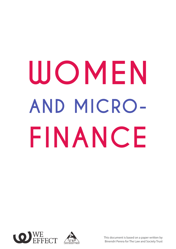# **WOMEN AND MICRO-FINANCE**





This document is based on a paper written by Binendri Perera for The Law and Society Trust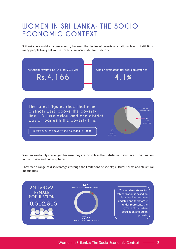# **WOMEN IN SRI LANKA: THE SOCIO ECONOMIC CONTEXT**

Sri Lanka, as a middle income country has seen the decline of poverty at a national level but still finds many people living below the poverty line across different sectors.



Women are doubly challenged because they are invisible in the statistics and also face discrimination in the private and public spheres.

They face a range of disadvantages through the limitations of society, cultural norms and structural inequalities.

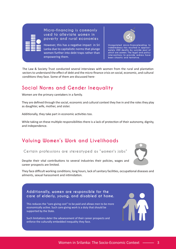**Micro-financing is commonly used to alleviate women in poverty and rural economies**

However, this has a negative impact in Sri Lanka due to capitalistic norms that plunge women further into debt traps rather than empowering them.

**Unregulated micro-financeleading to indebtedness has resulted in approximately 200 deaths by suicide most of which are women. The legal and policy interventions to provide redress have been chaotic and tentative.**

The Law & Society Trust conducted several interviews with women from the rural and plantation sectors to understand the effect of debt and the micro-finance crisis on social, economic, and cultural conditions they face. Some of them are discussed here-

# **Social Norms and Gender Inequality**

Women are the primary caretakers in a family.

They are defined through the social, economic and cultural context they live in and the roles they play as daughter, wife, mother, and sister.

Additionally, they take part in economic activities too.

While taking on these multiple responsibilities there is a lack of protection of their autonomy, dignity, and independence.

# **Valuing Women's Work and Livelihoods**

**Certain professions are stereotyped as "women's jobs"**

Despite their vital contributions to several industries their policies, wages and career prospects are limited.

They face difficult working conditions; long hours, lack of sanitary facilities, occupational diseases and ailments, sexual harassment and intimidation.

**Additionally, women are responsible for the care of elderly, young, and disabled at home.** 

This reduces the "care-giving cost" to be paid and allows men to be more economically active. Such care-giving work is a duty that should be supported by the State.

Such limitations deter the advancement of their career prospects and enforce the culturally embedded inequality they face.

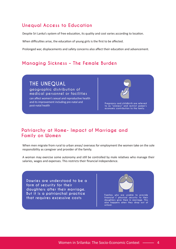#### **Unequal Access to Education**

Despite Sri Lanka's system of free education, its quality and cost varies according to location.

When difficulties arise, the education of young girls is the first to be affected.

Prolonged war, displacements and safety concerns also affect their education and advancement.

#### **Managing Sickness – The Female Burden**

**THE UNEQUAL geographic distribution of medical personnel or facilities**

can affect women's sexual and reproductive health and its improvement including pre-natal and post-natal health **Pregnancy and childbirth are referred to as "sickness" and restrict women's** 

**economic contribution to the family.**

#### **Patriarchy at Home- Impact of Marriage and Family on Women**

When men migrate from rural to urban areas/ overseas for employment the women take on the sole responsibility as caregiver and provider of the family.

A woman may exercise some autonomy and still be controlled by male relatives who manage their salaries, wages and expenses. This restricts their financial independence.

**Dowries are understood to be a form of security for their daughters after their marriage. But it is a patriarchal practice that requires excessive costs**



**daughters give them in marriage. This also happens when they drop out of school.**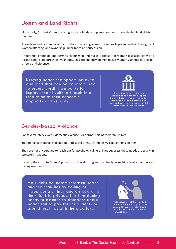## **Women and Land Rights**

Historically, Sri Lanka's laws relating to state lands and plantation lands have denied land rights to women.

These laws and patriarchal administrative practices give men more privileges and restrict the rights of women affecting land ownership, inheritance and succession.

Preferential grants of land permits favour men and make it difficult for women displaced by war to access land to support their livelihoods. This dependency on men makes women vulnerable to sexual bribery and violence.

**Denying women the opportunities to own land that can be collateralized to secure credit from banks to improve their livelihood result in a restriction of their economic capacity and security**

**Women turn to micro-finance companies to meet their urgent financial needs. These companies don't require documentation to provide loans but charge very high interest for unsecured loans.** 

### **Gender-based Violence**

For several interviewees, domestic violence is a normal part of their family lives.

Traditional patriarchal expectations add social pressure and heavy expectations on men.

They are not encouraged to reach out for psychological help. They suppress these needs especially in stressful situations.

Instead, they turn to "manly" pursuits such as drinking and habitually terrorizing family members as coping mechanisms

**Male debt collectors threaten women and their families by calling at inappropriate times and disregarding their right to privacy. This threatening behavior extends to situations where women fail to pay the installments or attend meetings with the creditors.**



**Male members of the family in turn use violence against the women to express their disapproval of their financial transactions.**